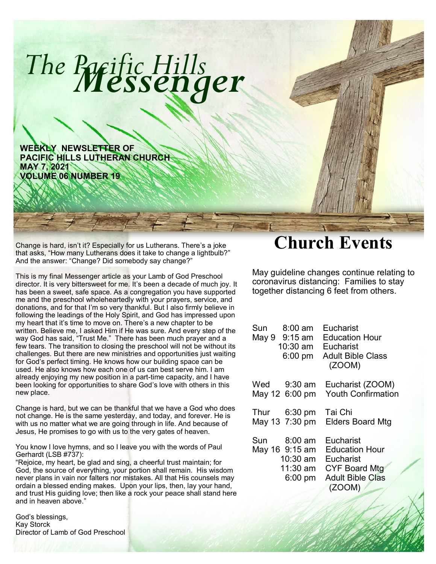

**WEEKLY NEWSLETTER OF PACIFIC HILLS LUTHERAN CHURCH MAY 7, 2021 VOLUME 06 NUMBER 19**

Change is hard, isn't it? Especially for us Lutherans. There's a joke that asks, "How many Lutherans does it take to change a lightbulb?" And the answer: "Change? Did somebody say change?"

This is my final Messenger article as your Lamb of God Preschool director. It is very bittersweet for me. It's been a decade of much joy. It has been a sweet, safe space. As a congregation you have supported me and the preschool wholeheartedly with your prayers, service, and donations, and for that I'm so very thankful. But I also firmly believe in following the leadings of the Holy Spirit, and God has impressed upon my heart that it's time to move on. There's a new chapter to be written. Believe me, I asked Him if He was sure. And every step of the way God has said, "Trust Me." There has been much prayer and a few tears. The transition to closing the preschool will not be without its challenges. But there are new ministries and opportunities just waiting for God's perfect timing. He knows how our building space can be used. He also knows how each one of us can best serve him. I am already enjoying my new position in a part-time capacity, and I have been looking for opportunities to share God's love with others in this new place.

Change is hard, but we can be thankful that we have a God who does not change. He is the same yesterday, and today, and forever. He is with us no matter what we are going through in life. And because of Jesus, He promises to go with us to the very gates of heaven.

You know I love hymns, and so I leave you with the words of Paul Gerhardt (LSB #737):

"Rejoice, my heart, be glad and sing, a cheerful trust maintain; for God, the source of everything, your portion shall remain. His wisdom never plans in vain nor falters nor mistakes. All that His counsels may ordain a blessed ending makes. Upon your lips, then, lay your hand, and trust His guiding love; then like a rock your peace shall stand here and in heaven above."

God's blessings, Kay Storck Director of Lamb of God Preschool

## **Church Events**

May guideline changes continue relating to coronavirus distancing: Families to stay together distancing 6 feet from others.

| $8:00 \text{ am}$      | Eucharist                 |
|------------------------|---------------------------|
| Sun                    | Education Hour            |
| May 9 9:15 am          | Eucharist                 |
| $10:30$ am             | <b>Adult Bible Class</b>  |
| $6:00$ pm              | (ZOOM)                    |
| Wed $9:30$ am          | Eucharist (ZOOM)          |
| May 12 6:00 pm         | <b>Youth Confirmation</b> |
| Thur $6:30 \text{ pm}$ | Tai Chi                   |
| May 13 7:30 pm         | <b>Elders Board Mtg</b>   |
| Sun                    | Eucharist                 |
| 8:00 am                | <b>Education Hour</b>     |
| May 16 9:15 am         | Eucharist                 |
| 10:30 am               | <b>CYF Board Mtg</b>      |
| 11:30 am               | <b>Adult Bible Clas</b>   |
| $6:00 \text{ pm}$      | (ZOOM)                    |